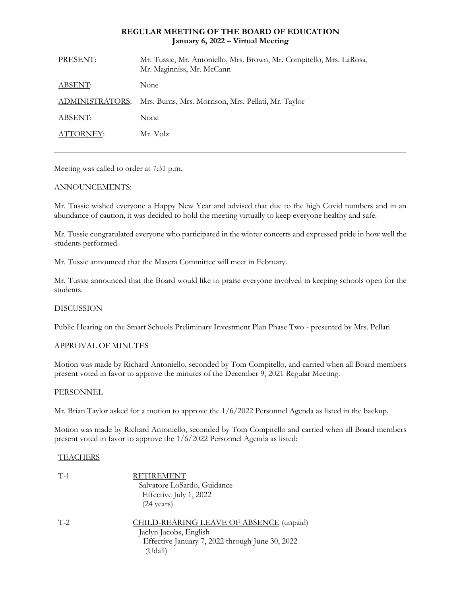# **REGULAR MEETING OF THE BOARD OF EDUCATION January 6, 2022 – Virtual Meeting**

| PRESENT:        | Mr. Tussie, Mr. Antoniello, Mrs. Brown, Mr. Compitello, Mrs. LaRosa,<br>Mr. Maginniss, Mr. McCann |
|-----------------|---------------------------------------------------------------------------------------------------|
| ABSENT:         | None                                                                                              |
| ADMINISTRATORS: | Mrs. Burns, Mrs. Morrison, Mrs. Pellati, Mr. Taylor                                               |
| ABSENT:         | None                                                                                              |
| ATTORNEY:       | Mr. Volz                                                                                          |

Meeting was called to order at 7:31 p.m.

# ANNOUNCEMENTS:

Mr. Tussie wished everyone a Happy New Year and advised that due to the high Covid numbers and in an abundance of caution, it was decided to hold the meeting virtually to keep everyone healthy and safe.

Mr. Tussie congratulated everyone who participated in the winter concerts and expressed pride in how well the students performed.

Mr. Tussie announced that the Masera Committee will meet in February.

Mr. Tussie announced that the Board would like to praise everyone involved in keeping schools open for the students.

# DISCUSSION

Public Hearing on the Smart Schools Preliminary Investment Plan Phase Two - presented by Mrs. Pellati

# APPROVAL OF MINUTES

Motion was made by Richard Antoniello, seconded by Tom Compitello, and carried when all Board members present voted in favor to approve the minutes of the December 9, 2021 Regular Meeting.

# PERSONNEL

Mr. Brian Taylor asked for a motion to approve the 1/6/2022 Personnel Agenda as listed in the backup.

Motion was made by Richard Antoniello, seconded by Tom Compitello and carried when all Board members present voted in favor to approve the 1/6/2022 Personnel Agenda as listed:

# **TEACHERS**

| $T-1$ | <b>RETIREMENT</b><br>Salvatore LoSardo, Guidance<br>Effective July 1, 2022<br>$(24 \text{ years})$                              |
|-------|---------------------------------------------------------------------------------------------------------------------------------|
| $T-2$ | CHILD-REARING LEAVE OF ABSENCE (unpaid)<br>Jaclyn Jacobs, English<br>Effective January 7, 2022 through June 30, 2022<br>(Udall) |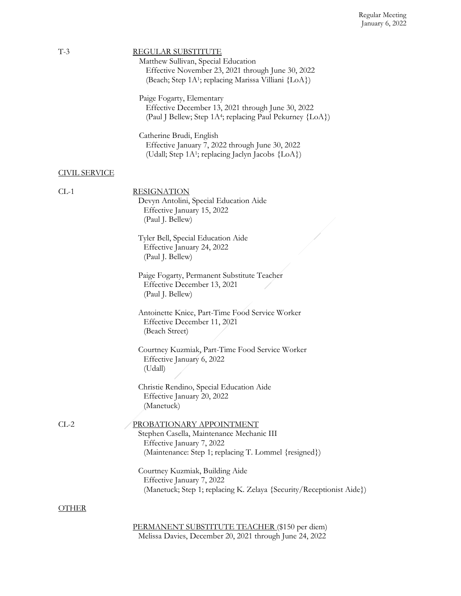| $T-3$                | <b>REGULAR SUBSTITUTE</b>                                              |
|----------------------|------------------------------------------------------------------------|
|                      | Matthew Sullivan, Special Education                                    |
|                      | Effective November 23, 2021 through June 30, 2022                      |
|                      | (Beach; Step 1A <sup>1</sup> ; replacing Marissa Villiani {LoA})       |
|                      | Paige Fogarty, Elementary                                              |
|                      | Effective December 13, 2021 through June 30, 2022                      |
|                      | (Paul J Bellew; Step 1A <sup>4</sup> ; replacing Paul Pekurney {LoA})  |
|                      |                                                                        |
|                      | Catherine Brudi, English                                               |
|                      | Effective January 7, 2022 through June 30, 2022                        |
|                      | (Udall; Step 1A <sup>1</sup> ; replacing Jaclyn Jacobs {LoA})          |
| <b>CIVIL SERVICE</b> |                                                                        |
|                      |                                                                        |
| $CL-1$               | <b>RESIGNATION</b>                                                     |
|                      | Devyn Antolini, Special Education Aide                                 |
|                      | Effective January 15, 2022                                             |
|                      | (Paul J. Bellew)                                                       |
|                      | Tyler Bell, Special Education Aide                                     |
|                      | Effective January 24, 2022                                             |
|                      | (Paul J. Bellew)                                                       |
|                      |                                                                        |
|                      | Paige Fogarty, Permanent Substitute Teacher                            |
|                      | Effective December 13, 2021                                            |
|                      | (Paul J. Bellew)                                                       |
|                      | Antoinette Knice, Part-Time Food Service Worker                        |
|                      | Effective December 11, 2021                                            |
|                      | (Beach Street)                                                         |
|                      |                                                                        |
|                      | Courtney Kuzmiak, Part-Time Food Service Worker                        |
|                      | Effective January 6, 2022                                              |
|                      | (Udall)                                                                |
|                      |                                                                        |
|                      | Christie Rendino, Special Education Aide<br>Effective January 20, 2022 |
|                      | (Manetuck)                                                             |
|                      |                                                                        |
| $CL-2$               | PROBATIONARY APPOINTMENT                                               |
|                      | Stephen Casella, Maintenance Mechanic III                              |
|                      | Effective January 7, 2022                                              |
|                      | (Maintenance: Step 1; replacing T. Lommel {resigned})                  |
|                      | Courtney Kuzmiak, Building Aide                                        |
|                      | Effective January 7, 2022                                              |
|                      | (Manetuck; Step 1; replacing K. Zelaya {Security/Receptionist Aide})   |
|                      |                                                                        |
| <b>OTHER</b>         |                                                                        |
|                      |                                                                        |
|                      | PERMANENT SUBSTITUTE TEACHER (\$150 per diem)                          |

Melissa Davies, December 20, 2021 through June 24, 2022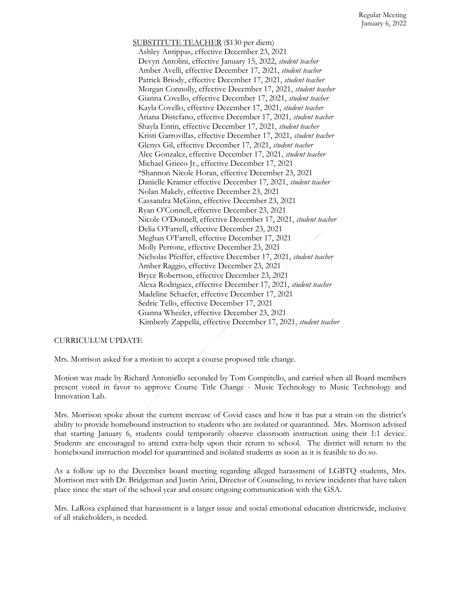SUBSTITUTE TEACHER (\$130 per diem) Ashley Antippas, effective December 23, 2021 Devyn Antolini, effective January 15, 2022, *student teacher* Amber Avelli, effective December 17, 2021, *student teacher* Patrick Briody, effective December 17, 2021, *student teacher* Morgan Connolly, effective December 17, 2021, *student teacher* Gianna Covello, effective December 17, 2021, *student teacher* Kayla Covello, effective December 17, 2021, *student teacher* Ariana Distefano, effective December 17, 2021, *student teacher* Shayla Entin, effective December 17, 2021, *student teacher* Kristi Garrovillas, effective December 17, 2021, *student teacher* Glenys Gil, effective December 17, 2021, *student teacher* Alec Gonzalez, effective December 17, 2021, *student teacher* Michael Grieco Jr., effective December 17, 2021 \*Shannon Nicole Horan, effective December 23, 2021 Danielle Kramer effective December 17, 2021, *student teacher* Nolan Makely, effective December 23, 2021 Cassandra McGinn, effective December 23, 2021 Ryan O'Connell, effective December 23, 2021 Nicole O'Donnell, effective December 17, 2021, *student teacher* Delia O'Farrell, effective December 23, 2021 Meghan O'Farrell, effective December 17, 2021 Molly Perrone, effective December 23, 2021 Nicholas Pfeiffer, effective December 17, 2021, *student teacher* Amber Raggio, effective December 23, 2021 Bryce Robertson, effective December 23, 2021 Alexa Rodriguez, effective December 17, 2021, *student teacher* Madeline Schaefer, effective December 17, 2021 Sedric Tello, effective December 17, 2021 Gianna Wheeler, effective December 23, 2021 Kimberly Zappella, effective December 17, 2021, *student teacher*

#### CURRICULUM UPDATE

Mrs. Morrison asked for a motion to accept a course proposed title change.

Motion was made by Richard Antoniello seconded by Tom Compitello, and carried when all Board members present voted in favor to approve Course Title Change - Music Technology to Music Technology and Innovation Lab.

Mrs. Morrison spoke about the current increase of Covid cases and how it has put a strain on the district's ability to provide homebound instruction to students who are isolated or quarantined. Mrs. Morrison advised that starting January 6, students could temporarily observe classroom instruction using their 1:1 device. Students are encouraged to attend extra-help upon their return to school. The district will return to the homebound instruction model for quarantined and isolated students as soon as it is feasible to do so.

As a follow up to the December board meeting regarding alleged harassment of LGBTQ students, Mrs. Morrison met with Dr. Bridgeman and Justin Arini, Director of Counseling, to review incidents that have taken place since the start of the school year and ensure ongoing communication with the GSA.

Mrs. LaRosa explained that harassment is a larger issue and social emotional education districtwide, inclusive of all stakeholders, is needed.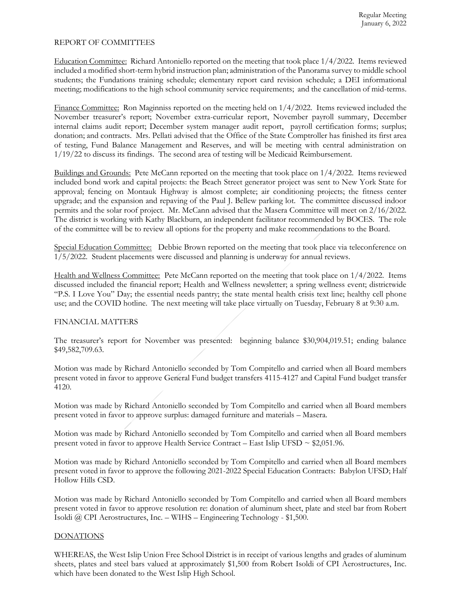### REPORT OF COMMITTEES

Education Committee: Richard Antoniello reported on the meeting that took place 1/4/2022. Items reviewed included a modified short-term hybrid instruction plan; administration of the Panorama survey to middle school students; the Fundations training schedule; elementary report card revision schedule; a DEI informational meeting; modifications to the high school community service requirements; and the cancellation of mid-terms.

Finance Committee: Ron Maginniss reported on the meeting held on  $1/4/2022$ . Items reviewed included the November treasurer's report; November extra-curricular report, November payroll summary, December internal claims audit report; December system manager audit report, payroll certification forms; surplus; donation; and contracts. Mrs. Pellati advised that the Office of the State Comptroller has finished its first area of testing, Fund Balance Management and Reserves, and will be meeting with central administration on 1/19/22 to discuss its findings. The second area of testing will be Medicaid Reimbursement.

Buildings and Grounds: Pete McCann reported on the meeting that took place on 1/4/2022. Items reviewed included bond work and capital projects: the Beach Street generator project was sent to New York State for approval; fencing on Montauk Highway is almost complete; air conditioning projects; the fitness center upgrade; and the expansion and repaving of the Paul J. Bellew parking lot. The committee discussed indoor permits and the solar roof project. Mr. McCann advised that the Masera Committee will meet on 2/16/2022. The district is working with Kathy Blackburn, an independent facilitator recommended by BOCES. The role of the committee will be to review all options for the property and make recommendations to the Board.

Special Education Committee: Debbie Brown reported on the meeting that took place via teleconference on 1/5/2022. Student placements were discussed and planning is underway for annual reviews.

Health and Wellness Committee: Pete McCann reported on the meeting that took place on 1/4/2022. Items discussed included the financial report; Health and Wellness newsletter; a spring wellness event; districtwide "P.S. I Love You" Day; the essential needs pantry; the state mental health crisis text line; healthy cell phone use; and the COVID hotline. The next meeting will take place virtually on Tuesday, February 8 at 9:30 a.m.

# FINANCIAL MATTERS

The treasurer's report for November was presented: beginning balance \$30,904,019.51; ending balance \$49,582,709.63.

Motion was made by Richard Antoniello seconded by Tom Compitello and carried when all Board members present voted in favor to approve General Fund budget transfers 4115-4127 and Capital Fund budget transfer 4120.

Motion was made by Richard Antoniello seconded by Tom Compitello and carried when all Board members present voted in favor to approve surplus: damaged furniture and materials – Masera.

Motion was made by Richard Antoniello seconded by Tom Compitello and carried when all Board members present voted in favor to approve Health Service Contract – East Islip UFSD  $\sim$  \$2,051.96.

Motion was made by Richard Antoniello seconded by Tom Compitello and carried when all Board members present voted in favor to approve the following 2021-2022 Special Education Contracts: Babylon UFSD; Half Hollow Hills CSD.

Motion was made by Richard Antoniello seconded by Tom Compitello and carried when all Board members present voted in favor to approve resolution re: donation of aluminum sheet, plate and steel bar from Robert Isoldi  $@$  CPI Aerostructures, Inc. – WIHS – Engineering Technology - \$1,500.

# DONATIONS

WHEREAS, the West Islip Union Free School District is in receipt of various lengths and grades of aluminum sheets, plates and steel bars valued at approximately \$1,500 from Robert Isoldi of CPI Aerostructures, Inc. which have been donated to the West Islip High School.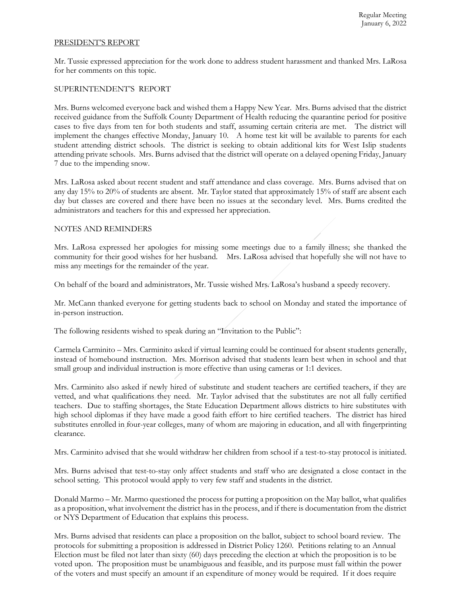#### PRESIDENT'S REPORT

Mr. Tussie expressed appreciation for the work done to address student harassment and thanked Mrs. LaRosa for her comments on this topic.

# SUPERINTENDENT'S REPORT

Mrs. Burns welcomed everyone back and wished them a Happy New Year. Mrs. Burns advised that the district received guidance from the Suffolk County Department of Health reducing the quarantine period for positive cases to five days from ten for both students and staff, assuming certain criteria are met. The district will implement the changes effective Monday, January 10. A home test kit will be available to parents for each student attending district schools. The district is seeking to obtain additional kits for West Islip students attending private schools. Mrs. Burns advised that the district will operate on a delayed opening Friday, January 7 due to the impending snow.

Mrs. LaRosa asked about recent student and staff attendance and class coverage. Mrs. Burns advised that on any day 15% to 20% of students are absent. Mr. Taylor stated that approximately 15% of staff are absent each day but classes are covered and there have been no issues at the secondary level. Mrs. Burns credited the administrators and teachers for this and expressed her appreciation.

#### NOTES AND REMINDERS

Mrs. LaRosa expressed her apologies for missing some meetings due to a family illness; she thanked the community for their good wishes for her husband. Mrs. LaRosa advised that hopefully she will not have to miss any meetings for the remainder of the year.

On behalf of the board and administrators, Mr. Tussie wished Mrs. LaRosa's husband a speedy recovery.

Mr. McCann thanked everyone for getting students back to school on Monday and stated the importance of in-person instruction.

The following residents wished to speak during an "Invitation to the Public":

Carmela Carminito – Mrs. Carminito asked if virtual learning could be continued for absent students generally, instead of homebound instruction. Mrs. Morrison advised that students learn best when in school and that small group and individual instruction is more effective than using cameras or 1:1 devices.

Mrs. Carminito also asked if newly hired of substitute and student teachers are certified teachers, if they are vetted, and what qualifications they need. Mr. Taylor advised that the substitutes are not all fully certified teachers. Due to staffing shortages, the State Education Department allows districts to hire substitutes with high school diplomas if they have made a good faith effort to hire certified teachers. The district has hired substitutes enrolled in four-year colleges, many of whom are majoring in education, and all with fingerprinting clearance.

Mrs. Carminito advised that she would withdraw her children from school if a test-to-stay protocol is initiated.

Mrs. Burns advised that test-to-stay only affect students and staff who are designated a close contact in the school setting. This protocol would apply to very few staff and students in the district.

Donald Marmo – Mr. Marmo questioned the process for putting a proposition on the May ballot, what qualifies as a proposition, what involvement the district has in the process, and if there is documentation from the district or NYS Department of Education that explains this process.

Mrs. Burns advised that residents can place a proposition on the ballot, subject to school board review. The protocols for submitting a proposition is addressed in District Policy 1260. Petitions relating to an Annual Election must be filed not later than sixty (60) days preceding the election at which the proposition is to be voted upon. The proposition must be unambiguous and feasible, and its purpose must fall within the power of the voters and must specify an amount if an expenditure of money would be required. If it does require